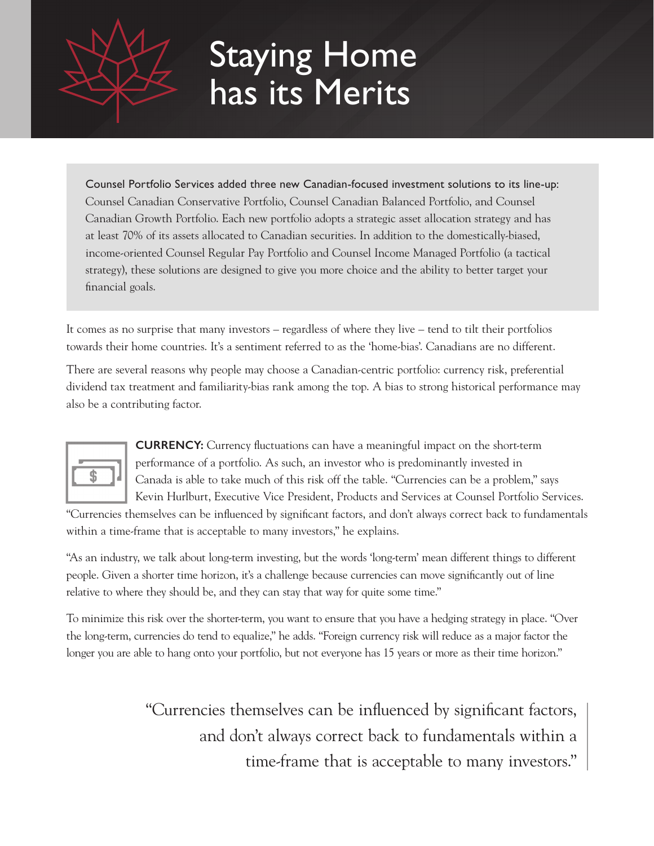# Staying Home has its Merits

Counsel Portfolio Services added three new Canadian-focused investment solutions to its line-up: Counsel Canadian Conservative Portfolio, Counsel Canadian Balanced Portfolio, and Counsel Canadian Growth Portfolio. Each new portfolio adopts a strategic asset allocation strategy and has at least 70% of its assets allocated to Canadian securities. In addition to the domestically-biased, income-oriented Counsel Regular Pay Portfolio and Counsel Income Managed Portfolio (a tactical strategy), these solutions are designed to give you more choice and the ability to better target your financial goals.

It comes as no surprise that many investors – regardless of where they live – tend to tilt their portfolios towards their home countries. It's a sentiment referred to as the 'home-bias'. Canadians are no different.

There are several reasons why people may choose a Canadian-centric portfolio: currency risk, preferential dividend tax treatment and familiarity-bias rank among the top. A bias to strong historical performance may also be a contributing factor.



**CURRENCY:** Currency fluctuations can have a meaningful impact on the short-term performance of a portfolio. As such, an investor who is predominantly invested in Canada is able to take much of this risk off the table. "Currencies can be a problem," says Kevin Hurlburt, Executive Vice President, Products and Services at Counsel Portfolio Services.

"Currencies themselves can be influenced by significant factors, and don't always correct back to fundamentals within a time-frame that is acceptable to many investors," he explains.

"As an industry, we talk about long-term investing, but the words 'long-term' mean different things to different people. Given a shorter time horizon, it's a challenge because currencies can move significantly out of line relative to where they should be, and they can stay that way for quite some time."

To minimize this risk over the shorter-term, you want to ensure that you have a hedging strategy in place. "Over the long-term, currencies do tend to equalize," he adds. "Foreign currency risk will reduce as a major factor the longer you are able to hang onto your portfolio, but not everyone has 15 years or more as their time horizon."

> "Currencies themselves can be influenced by significant factors, and don't always correct back to fundamentals within a time-frame that is acceptable to many investors."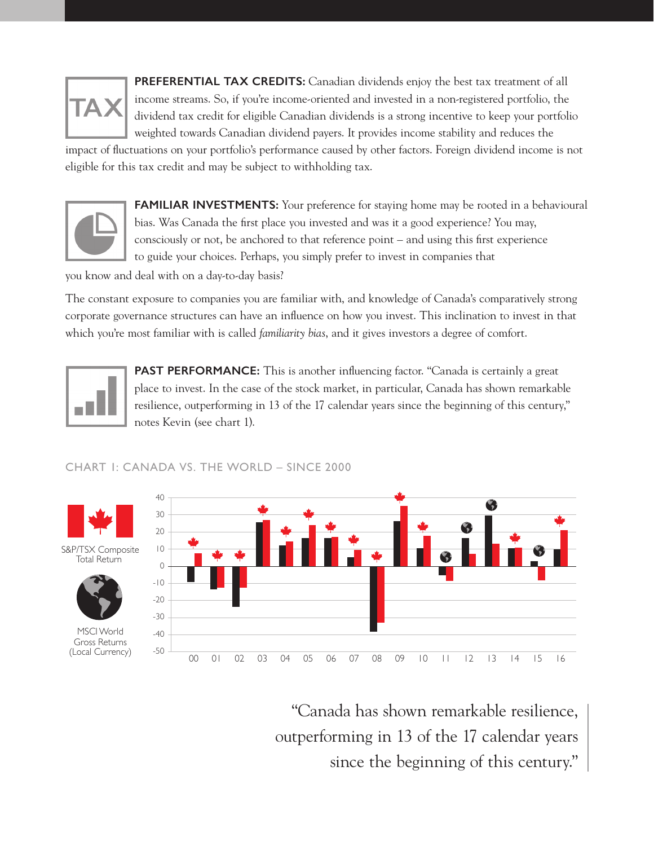**PREFERENTIAL TAX CREDITS:** Canadian dividends enjoy the best tax treatment of all income streams. So, if you're income-oriented and invested in a non-registered portfolio, the dividend tax credit for eligible Canadian dividends is a strong incentive to keep your portfolio weighted towards Canadian dividend payers. It provides income stability and reduces the

impact of fluctuations on your portfolio's performance caused by other factors. Foreign dividend income is not eligible for this tax credit and may be subject to withholding tax.



FAMILIAR INVESTMENTS: Your preference for staying home may be rooted in a behavioural bias. Was Canada the first place you invested and was it a good experience? You may, consciously or not, be anchored to that reference point – and using this first experience to guide your choices. Perhaps, you simply prefer to invest in companies that

you know and deal with on a day-to-day basis?

The constant exposure to companies you are familiar with, and knowledge of Canada's comparatively strong corporate governance structures can have an influence on how you invest. This inclination to invest in that which you're most familiar with is called *familiarity bias*, and it gives investors a degree of comfort.



**PAST PERFORMANCE:** This is another influencing factor. "Canada is certainly a great place to invest. In the case of the stock market, in particular, Canada has shown remarkable resilience, outperforming in 13 of the 17 calendar years since the beginning of this century," notes Kevin (see chart 1).



S&P/TSX Composite Total Return



MSCI World Gross Returns (Local Currency)



"Canada has shown remarkable resilience, outperforming in 13 of the 17 calendar years since the beginning of this century."

## CHART 1: CANADA VS. THE WORLD – SINCE 2000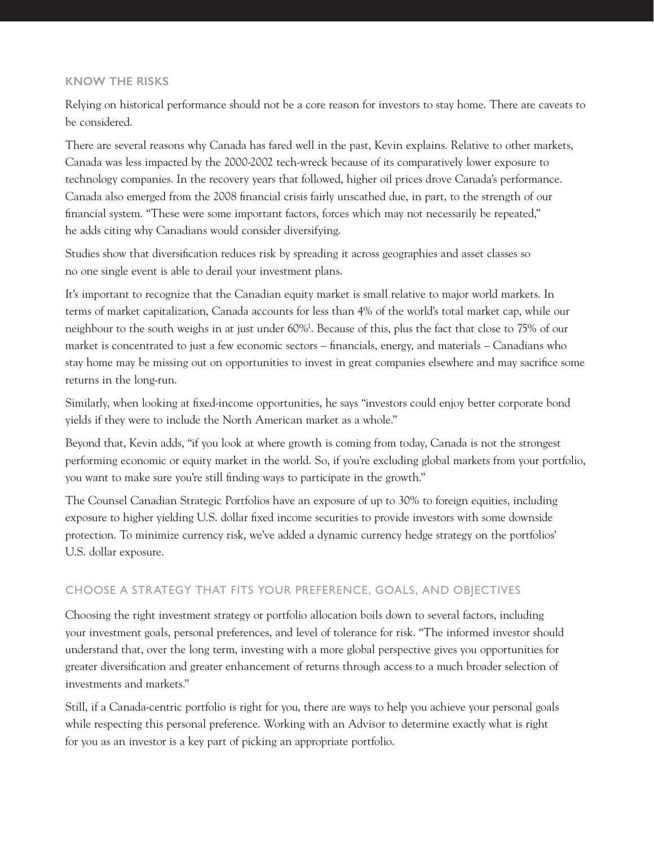## **KNOW THE RISKS**

Relying on historical performance should not be a core reason for investors to stay home. There are caveats to be considered.

There are several reasons why Canada has fared well in the past, Kevin explains. Relative to other markets, Canada was less impacted by the 2000-2002 tech-wreck because of its comparatively lower exposure to technology companies. In the recovery years that followed, higher oil prices drove Canada's performance. Canada also emerged from the 2008 financial crisis fairly unscathed due, in part, to the strength of our financial system. "These were some important factors, forces which may not necessarily be repeated," he adds citing why Canadians would consider diversifying.

Studies show that diversification reduces risk by spreading it across geographies and asset classes so no one single event is able to derail your investment plans.

It's important to recognize that the Canadian equity market is small relative to major world markets. In terms of market capitalization, Canada accounts for less than 4% of the world's total market cap, while our neighbour to the south weighs in at just under 60%1 . Because of this, plus the fact that close to 75% of our market is concentrated to just a few economic sectors – financials, energy, and materials – Canadians who stay home may be missing out on opportunities to invest in great companies elsewhere and may sacrifice some returns in the long-run.

Similarly, when looking at fixed-income opportunities, he says "investors could enjoy better corporate bond yields if they were to include the North American market as a whole."

Beyond that, Kevin adds, "if you look at where growth is coming from today, Canada is not the strongest performing economic or equity market in the world. So, if you're excluding global markets from your portfolio, you want to make sure you're still finding ways to participate in the growth."

The Counsel Canadian Strategic Portfolios have an exposure of up to 30% to foreign equities, including exposure to higher yielding U.S. dollar fixed income securities to provide investors with some downside protection. To minimize currency risk, we've added a dynamic currency hedge strategy on the portfolios' U.S. dollar exposure.

## CHOOSE A STRATEGY THAT FITS YOUR PREFERENCE, GOALS, AND OBJECTIVES

Choosing the right investment strategy or portfolio allocation boils down to several factors, including your investment goals, personal preferences, and level of tolerance for risk. "The informed investor should understand that, over the long term, investing with a more global perspective gives you opportunities for greater diversification and greater enhancement of returns through access to a much broader selection of investments and markets."

Still, if a Canada-centric portfolio is right for you, there are ways to help you achieve your personal goals while respecting this personal preference. Working with an Advisor to determine exactly what is right for you as an investor is a key part of picking an appropriate portfolio.